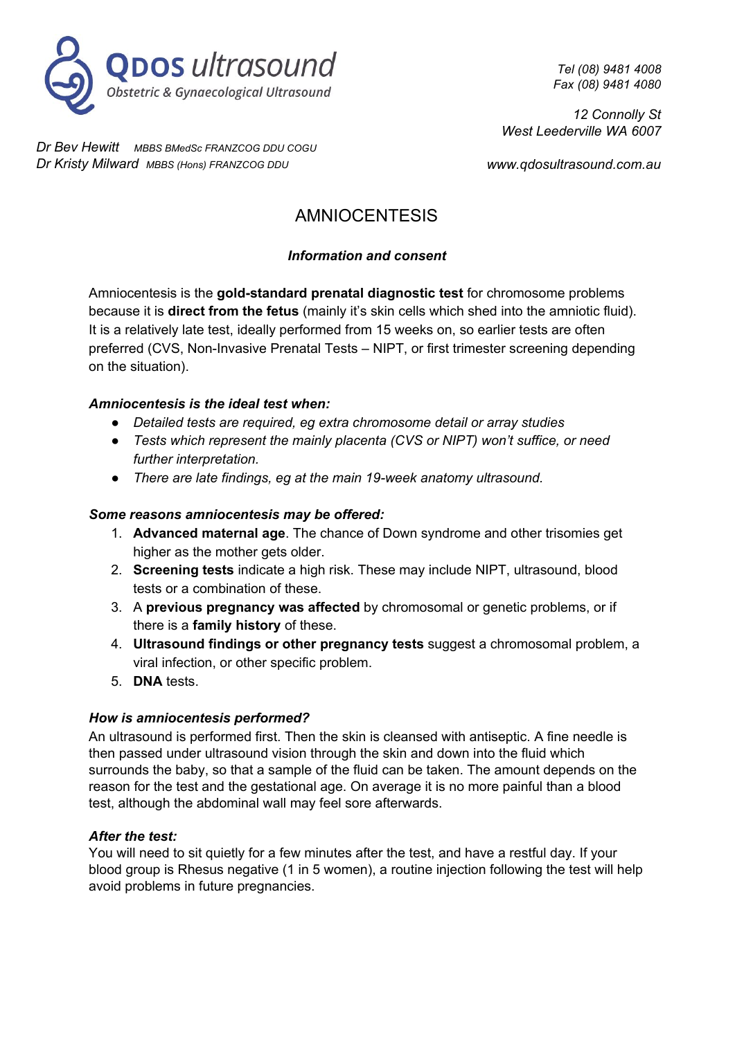

*Dr Bev Hewitt MBBS BMedSc FRANZCOG DDU COGU Dr Kristy Milward MBBS (Hons) FRANZCOG DDU*

*Tel (08) 9481 4008 Fax (08) 9481 4080*

*12 Connolly St West Leederville WA 6007*

*www.qdosultrasound.com.au*

# AMNIOCENTESIS

# *Information and consent*

Amniocentesis is the **gold-standard prenatal diagnostic test** for chromosome problems because it is **direct from the fetus** (mainly it's skin cells which shed into the amniotic fluid). It is a relatively late test, ideally performed from 15 weeks on, so earlier tests are often preferred (CVS, Non-Invasive Prenatal Tests – NIPT, or first trimester screening depending on the situation).

# *Amniocentesis is the ideal test when:*

- *Detailed tests are required, eg extra chromosome detail or array studies*
- *Tests which represent the mainly placenta (CVS or NIPT) won't suffice, or need further interpretation.*
- *There are late findings, eg at the main 19-week anatomy ultrasound.*

# *Some reasons amniocentesis may be offered:*

- 1. **Advanced maternal age**. The chance of Down syndrome and other trisomies get higher as the mother gets older.
- 2. **Screening tests** indicate a high risk. These may include NIPT, ultrasound, blood tests or a combination of these.
- 3. A **previous pregnancy was affected** by chromosomal or genetic problems, or if there is a **family history** of these.
- 4. **Ultrasound findings or other pregnancy tests** suggest a chromosomal problem, a viral infection, or other specific problem.
- 5. **DNA** tests.

#### *How is amniocentesis performed?*

An ultrasound is performed first. Then the skin is cleansed with antiseptic. A fine needle is then passed under ultrasound vision through the skin and down into the fluid which surrounds the baby, so that a sample of the fluid can be taken. The amount depends on the reason for the test and the gestational age. On average it is no more painful than a blood test, although the abdominal wall may feel sore afterwards.

#### *After the test:*

You will need to sit quietly for a few minutes after the test, and have a restful day. If your blood group is Rhesus negative (1 in 5 women), a routine injection following the test will help avoid problems in future pregnancies.